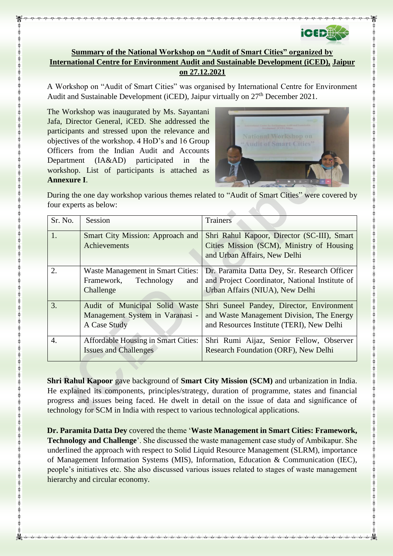

## **Summary of the National Workshop on "Audit of Smart Cities" organized by International Centre for Environment Audit and Sustainable Development (iCED), Jaipur on 27.12.2021**

A Workshop on "Audit of Smart Cities" was organised by International Centre for Environment Audit and Sustainable Development (iCED), Jaipur virtually on 27<sup>th</sup> December 2021.

The Workshop was inaugurated by Ms. Sayantani Jafa, Director General, iCED. She addressed the participants and stressed upon the relevance and objectives of the workshop. 4 HoD's and 16 Group Officers from the Indian Audit and Accounts Department (IA&AD) participated in the workshop. List of participants is attached as **Annexure I**.



During the one day workshop various themes related to "Audit of Smart Cities" were covered by four experts as below:

| Sr. No. | Session                                                                                  | <b>Trainers</b>                                                                                                                     |
|---------|------------------------------------------------------------------------------------------|-------------------------------------------------------------------------------------------------------------------------------------|
| 1.      | Smart City Mission: Approach and<br>Achievements                                         | Shri Rahul Kapoor, Director (SC-III), Smart<br>Cities Mission (SCM), Ministry of Housing<br>and Urban Affairs, New Delhi            |
| 2.      | <b>Waste Management in Smart Cities:</b><br>Framework,<br>Technology<br>and<br>Challenge | Dr. Paramita Datta Dey, Sr. Research Officer<br>and Project Coordinator, National Institute of<br>Urban Affairs (NIUA), New Delhi   |
| 3.      | Audit of Municipal Solid Waste<br>Management System in Varanasi -<br>A Case Study        | Shri Suneel Pandey, Director, Environment<br>and Waste Management Division, The Energy<br>and Resources Institute (TERI), New Delhi |
| 4.      | <b>Affordable Housing in Smart Cities:</b><br><b>Issues and Challenges</b>               | Shri Rumi Aijaz, Senior Fellow, Observer<br>Research Foundation (ORF), New Delhi                                                    |

**Shri Rahul Kapoor** gave background of **Smart City Mission (SCM)** and urbanization in India. He explained its components, principles/strategy, duration of programme, states and financial progress and issues being faced. He dwelt in detail on the issue of data and significance of technology for SCM in India with respect to various technological applications.

**Dr. Paramita Datta Dey** covered the theme '**Waste Management in Smart Cities: Framework, Technology and Challenge**'. She discussed the waste management case study of Ambikapur. She underlined the approach with respect to Solid Liquid Resource Management (SLRM), importance of Management Information Systems (MIS), Information, Education & Communication (IEC), people's initiatives etc. She also discussed various issues related to stages of waste management hierarchy and circular economy.